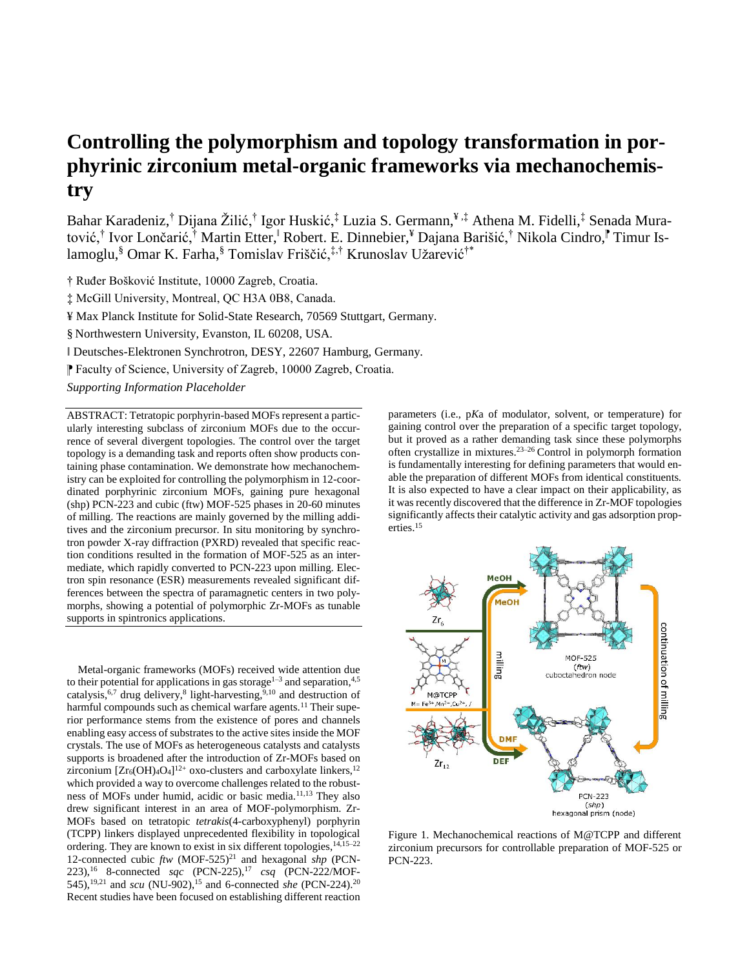# **Controlling the polymorphism and topology transformation in porphyrinic zirconium metal-organic frameworks via mechanochemistry**

Bahar Karadeniz,† Dijana Žilić,† Igor Huskić,‡ Luzia S. Germann,¥ ,‡ Athena M. Fidelli,‡ Senada Muratović,† Ivor Lončarić,† Martin Etter,<sup>†</sup> Robert. E. Dinnebier,¥ Dajana Barišić,† Nikola Cindro,<sup>∥</sup> Timur Islamoglu,§ Omar K. Farha,§ Tomislav Friščić,‡,† Krunoslav Užarević†\*

† Ruđer Bošković Institute, 10000 Zagreb, Croatia.

‡ McGill University, Montreal, QC H3A 0B8, Canada.

¥ Max Planck Institute for Solid-State Research, 70569 Stuttgart, Germany.

§ Northwestern University, Evanston, IL 60208, USA.

ǁ Deutsches-Elektronen Synchrotron, DESY, 22607 Hamburg, Germany.

⁋ Faculty of Science, University of Zagreb, 10000 Zagreb, Croatia.

*Supporting Information Placeholder*

ABSTRACT: Tetratopic porphyrin-based MOFs represent a particularly interesting subclass of zirconium MOFs due to the occurrence of several divergent topologies. The control over the target topology is a demanding task and reports often show products containing phase contamination. We demonstrate how mechanochemistry can be exploited for controlling the polymorphism in 12-coordinated porphyrinic zirconium MOFs, gaining pure hexagonal (shp) PCN-223 and cubic (ftw) MOF-525 phases in 20-60 minutes of milling. The reactions are mainly governed by the milling additives and the zirconium precursor. In situ monitoring by synchrotron powder X-ray diffraction (PXRD) revealed that specific reaction conditions resulted in the formation of MOF-525 as an intermediate, which rapidly converted to PCN-223 upon milling. Electron spin resonance (ESR) measurements revealed significant differences between the spectra of paramagnetic centers in two polymorphs, showing a potential of polymorphic Zr-MOFs as tunable supports in spintronics applications.

Metal-organic frameworks (MOFs) received wide attention due to their potential for applications in gas storage<sup>1-3</sup> and separation,<sup>4,5</sup> catalysis,  $6,7$  drug delivery, $8$  light-harvesting,  $9,10$  and destruction of harmful compounds such as chemical warfare agents.<sup>11</sup> Their superior performance stems from the existence of pores and channels enabling easy access of substrates to the active sites inside the MOF crystals. The use of MOFs as heterogeneous catalysts and catalysts supports is broadened after the introduction of Zr-MOFs based on zirconium  $[Zr_6(OH)_4O_4]^{12+}$  oxo-clusters and carboxylate linkers,  $^{12}$ which provided a way to overcome challenges related to the robustness of MOFs under humid, acidic or basic media.11,13 They also drew significant interest in an area of MOF-polymorphism. Zr-MOFs based on tetratopic *tetrakis*(4-carboxyphenyl) porphyrin (TCPP) linkers displayed unprecedented flexibility in topological ordering. They are known to exist in six different topologies, 14,15–22 12-connected cubic *ftw* (MOF-525)<sup>21</sup> and hexagonal *shp* (PCN-223),<sup>16</sup> 8-connected *sqc* (PCN-225),<sup>17</sup> *csq* (PCN-222/MOF-545),<sup>19,21</sup> and *scu* (NU-902),<sup>15</sup> and 6-connected *she* (PCN-224).<sup>20</sup> Recent studies have been focused on establishing different reaction

parameters (i.e., p*K*a of modulator, solvent, or temperature) for gaining control over the preparation of a specific target topology, but it proved as a rather demanding task since these polymorphs often crystallize in mixtures. 23–26 Control in polymorph formation is fundamentally interesting for defining parameters that would enable the preparation of different MOFs from identical constituents. It is also expected to have a clear impact on their applicability, as it was recently discovered that the difference in Zr-MOF topologies significantly affects their catalytic activity and gas adsorption properties.<sup>15</sup>



Figure 1. Mechanochemical reactions of M@TCPP and different zirconium precursors for controllable preparation of MOF-525 or PCN-223.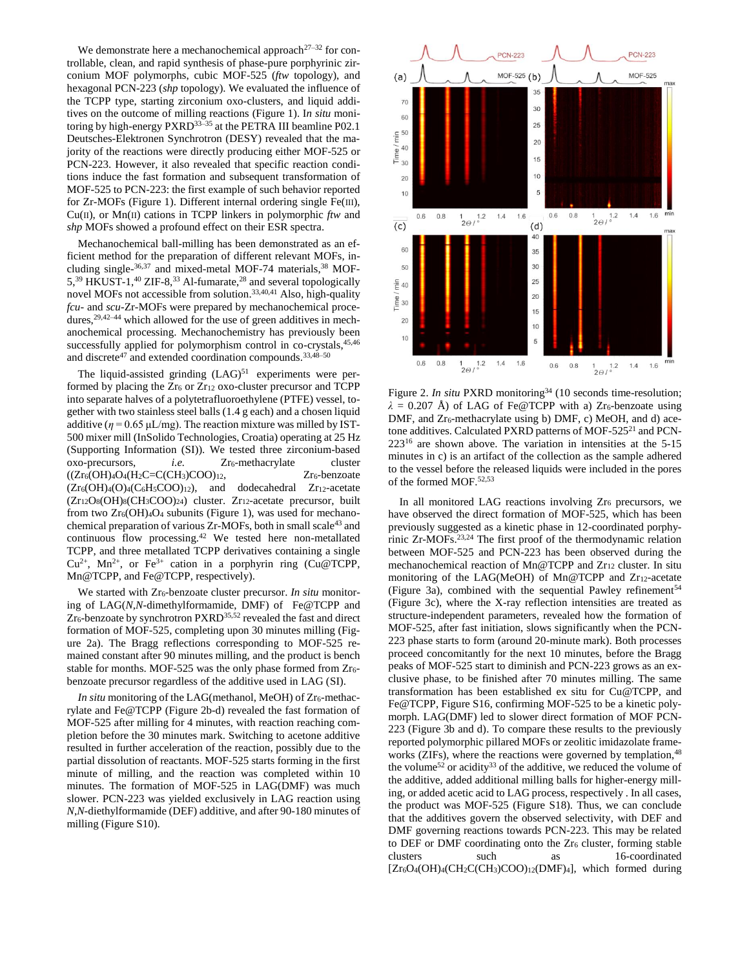We demonstrate here a mechanochemical approach<sup>27–32</sup> for controllable, clean, and rapid synthesis of phase-pure porphyrinic zirconium MOF polymorphs, cubic MOF-525 (*ftw* topology), and hexagonal PCN-223 (*shp* topology). We evaluated the influence of the TCPP type, starting zirconium oxo-clusters, and liquid additives on the outcome of milling reactions (Figure 1). I*n situ* monitoring by high-energy PXRD<sup>33–35</sup> at the PETRA III beamline P02.1 Deutsches-Elektronen Synchrotron (DESY) revealed that the majority of the reactions were directly producing either MOF-525 or PCN-223. However, it also revealed that specific reaction conditions induce the fast formation and subsequent transformation of MOF-525 to PCN-223: the first example of such behavior reported for Zr-MOFs (Figure 1). Different internal ordering single Fe(III), Cu(II), or Mn(II) cations in TCPP linkers in polymorphic *ftw* and *shp* MOFs showed a profound effect on their ESR spectra.

Mechanochemical ball-milling has been demonstrated as an efficient method for the preparation of different relevant MOFs, including single-<sup>36,37</sup> and mixed-metal MOF-74 materials,<sup>38</sup> MOF-5,<sup>39</sup> HKUST-1,<sup>40</sup> ZIF-8,<sup>33</sup> Al-fumarate,<sup>28</sup> and several topologically novel MOFs not accessible from solution.<sup>33,40,41</sup> Also, high-quality *fcu*- and *scu*-Zr-MOFs were prepared by mechanochemical procedures,<sup>29,42–44</sup> which allowed for the use of green additives in mechanochemical processing. Mechanochemistry has previously been successfully applied for polymorphism control in co-crystals,  $45,46$ and discrete<sup>47</sup> and extended coordination compounds.<sup>33,48-50</sup>

The liquid-assisted grinding  $(LAG)^{51}$  experiments were performed by placing the  $Zr_6$  or  $Zr_{12}$  oxo-cluster precursor and TCPP into separate halves of a polytetrafluoroethylene (PTFE) vessel, together with two stainless steel balls (1.4 g each) and a chosen liquid additive ( $\eta$  = 0.65  $\mu$ L/mg). The reaction mixture was milled by IST-500 mixer mill (InSolido Technologies, Croatia) operating at 25 Hz (Supporting Information (SI)). We tested three zirconium-based oxo-precursors, *i.e.* Zr<sub>6</sub>-methacrylate cluster  $((Zr<sub>6</sub>(OH)<sub>4</sub>O<sub>4</sub>(H<sub>2</sub>C=C(CH<sub>3</sub>)COO)<sub>12</sub>, Zr<sub>6</sub>-benzoate$  $(Zr_6(OH)_4(O)_4(C_6H_5COO)_{12})$ , and dodecahedral  $Zr_{12}$ -acetate  $(Zr_{12}O_8(OH)_8(CH_3COO)_{24})$  cluster.  $Zr_{12}$ -acetate precursor, built from two  $Zr<sub>6</sub>(OH)<sub>4</sub>O<sub>4</sub>$  subunits (Figure 1), was used for mechanochemical preparation of various Zr-MOFs, both in small scale<sup>43</sup> and continuous flow processing.<sup>42</sup> We tested here non-metallated TCPP, and three metallated TCPP derivatives containing a single  $Cu^{2+}$ , Mn<sup>2+</sup>, or Fe<sup>3+</sup> cation in a porphyrin ring (Cu@TCPP, Mn@TCPP, and Fe@TCPP, respectively).

We started with Zr<sub>6</sub>-benzoate cluster precursor. *In situ* monitoring of LAG(*N,N*-dimethylformamide, DMF) of Fe@TCPP and Zr<sub>6</sub>-benzoate by synchrotron PXRD<sup>35,52</sup> revealed the fast and direct formation of MOF-525, completing upon 30 minutes milling (Figure 2a). The Bragg reflections corresponding to MOF-525 remained constant after 90 minutes milling, and the product is bench stable for months. MOF-525 was the only phase formed from  $Zr_6$ benzoate precursor regardless of the additive used in LAG (SI).

*In situ* monitoring of the LAG(methanol, MeOH) of Zr<sub>6</sub>-methacrylate and Fe@TCPP (Figure 2b-d) revealed the fast formation of MOF-525 after milling for 4 minutes, with reaction reaching completion before the 30 minutes mark. Switching to acetone additive resulted in further acceleration of the reaction, possibly due to the partial dissolution of reactants. MOF-525 starts forming in the first minute of milling, and the reaction was completed within 10 minutes. The formation of MOF-525 in LAG(DMF) was much slower. PCN-223 was yielded exclusively in LAG reaction using *N*,*N*-diethylformamide (DEF) additive, and after 90-180 minutes of milling (Figure S10).



Figure 2. *In situ* PXRD monitoring<sup>34</sup> (10 seconds time-resolution;  $\lambda = 0.207$  Å) of LAG of Fe@TCPP with a) Zr<sub>6</sub>-benzoate using DMF, and  $Zr_6$ -methacrylate using b) DMF, c) MeOH, and d) acetone additives. Calculated PXRD patterns of MOF-525<sup>21</sup> and PCN-223<sup>16</sup> are shown above. The variation in intensities at the 5-15 minutes in c) is an artifact of the collection as the sample adhered to the vessel before the released liquids were included in the pores of the formed MOF.52,53

In all monitored LAG reactions involving  $Zr_6$  precursors, we have observed the direct formation of MOF-525, which has been previously suggested as a kinetic phase in 12-coordinated porphyrinic Zr-MOFs.23,24 The first proof of the thermodynamic relation between MOF-525 and PCN-223 has been observed during the mechanochemical reaction of Mn@TCPP and Zr<sup>12</sup> cluster. In situ monitoring of the LAG(MeOH) of Mn@TCPP and Zr12-acetate (Figure 3a), combined with the sequential Pawley refinement<sup>54</sup> (Figure 3c), where the X-ray reflection intensities are treated as structure-independent parameters, revealed how the formation of MOF-525, after fast initiation, slows significantly when the PCN-223 phase starts to form (around 20-minute mark). Both processes proceed concomitantly for the next 10 minutes, before the Bragg peaks of MOF-525 start to diminish and PCN-223 grows as an exclusive phase, to be finished after 70 minutes milling. The same transformation has been established ex situ for Cu@TCPP, and Fe@TCPP, Figure S16, confirming MOF-525 to be a kinetic polymorph. LAG(DMF) led to slower direct formation of MOF PCN-223 (Figure 3b and d). To compare these results to the previously reported polymorphic pillared MOFs or zeolitic imidazolate frameworks (ZIFs), where the reactions were governed by templation,  $48$ the volume<sup>52</sup> or acidity<sup>33</sup> of the additive, we reduced the volume of the additive, added additional milling balls for higher-energy milling, or added acetic acid to LAG process, respectively . In all cases, the product was MOF-525 (Figure S18). Thus, we can conclude that the additives govern the observed selectivity, with DEF and DMF governing reactions towards PCN-223. This may be related to DEF or DMF coordinating onto the Zr<sub>6</sub> cluster, forming stable clusters such as 16-coordinated [Zr<sub>6</sub>O<sub>4</sub>(OH)<sub>4</sub>(CH<sub>2</sub>C(CH<sub>3</sub>)COO)<sub>12</sub>(DMF)<sub>4</sub>], which formed during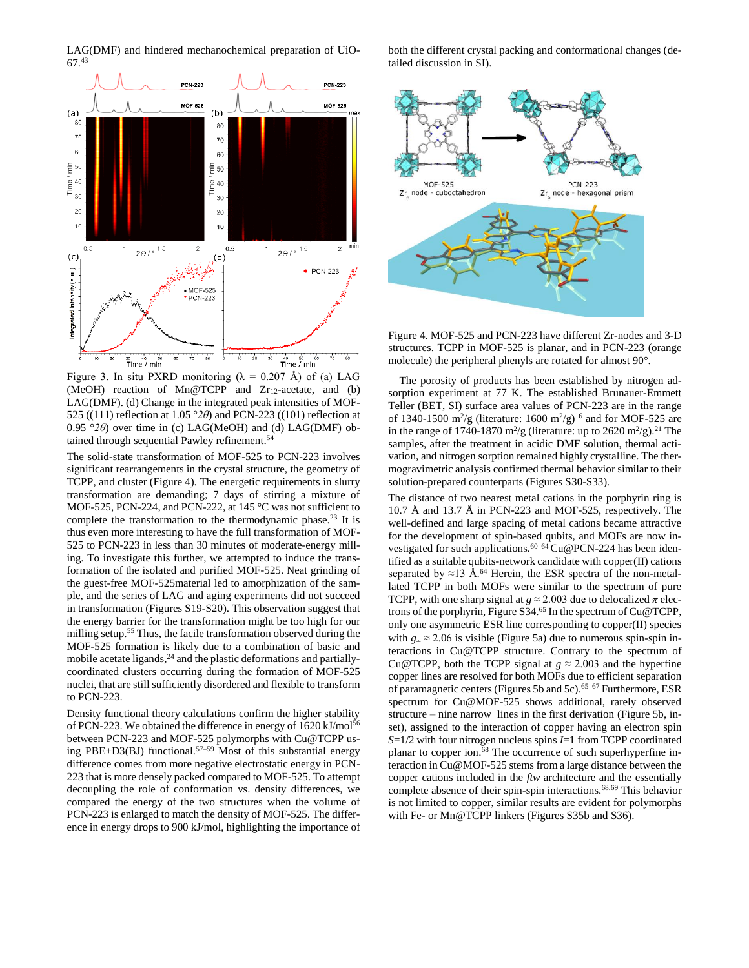LAG(DMF) and hindered mechanochemical preparation of UiO-67. 43



Figure 3. In situ PXRD monitoring ( $\lambda = 0.207$  Å) of (a) LAG (MeOH) reaction of Mn@TCPP and  $Zr_{12}$ -acetate, and (b) LAG(DMF). (d) Change in the integrated peak intensities of MOF-525 ((111) reflection at 1.05 °*2θ*) and PCN-223 ((101) reflection at 0.95 °*2θ*) over time in (c) LAG(MeOH) and (d) LAG(DMF) obtained through sequential Pawley refinement. 54

The solid-state transformation of MOF-525 to PCN-223 involves significant rearrangements in the crystal structure, the geometry of TCPP, and cluster (Figure 4). The energetic requirements in slurry transformation are demanding; 7 days of stirring a mixture of MOF-525, PCN-224, and PCN-222, at 145 °C was not sufficient to complete the transformation to the thermodynamic phase.<sup>23</sup> It is thus even more interesting to have the full transformation of MOF-525 to PCN-223 in less than 30 minutes of moderate-energy milling. To investigate this further, we attempted to induce the transformation of the isolated and purified MOF-525. Neat grinding of the guest-free MOF-525material led to amorphization of the sample, and the series of LAG and aging experiments did not succeed in transformation (Figures S19-S20). This observation suggest that the energy barrier for the transformation might be too high for our milling setup.<sup>55</sup> Thus, the facile transformation observed during the MOF-525 formation is likely due to a combination of basic and mobile acetate ligands,<sup>24</sup> and the plastic deformations and partiallycoordinated clusters occurring during the formation of MOF-525 nuclei, that are still sufficiently disordered and flexible to transform to PCN-223.

Density functional theory calculations confirm the higher stability of PCN-223. We obtained the difference in energy of 1620 kJ/mol<sup>56</sup> between PCN-223 and MOF-525 polymorphs with Cu@TCPP using PBE+D3(BJ) functional.<sup>57–59</sup> Most of this substantial energy difference comes from more negative electrostatic energy in PCN-223 that is more densely packed compared to MOF-525. To attempt decoupling the role of conformation vs. density differences, we compared the energy of the two structures when the volume of PCN-223 is enlarged to match the density of MOF-525. The difference in energy drops to 900 kJ/mol, highlighting the importance of both the different crystal packing and conformational changes (detailed discussion in SI).



Figure 4. MOF-525 and PCN-223 have different Zr-nodes and 3-D structures. TCPP in MOF-525 is planar, and in PCN-223 (orange molecule) the peripheral phenyls are rotated for almost 90°.

The porosity of products has been established by nitrogen adsorption experiment at 77 K. The established Brunauer-Emmett Teller (BET, SI) surface area values of PCN-223 are in the range of 1340-1500 m<sup>2</sup>/g (literature: 1600 m<sup>2</sup>/g)<sup>16</sup> and for MOF-525 are in the range of 1740-1870 m<sup>2</sup>/g (literature: up to 2620 m<sup>2</sup>/g).<sup>21</sup> The samples, after the treatment in acidic DMF solution, thermal activation, and nitrogen sorption remained highly crystalline. The thermogravimetric analysis confirmed thermal behavior similar to their solution-prepared counterparts (Figures S30-S33).

The distance of two nearest metal cations in the porphyrin ring is 10.7 Å and 13.7 Å in PCN-223 and MOF-525, respectively. The well-defined and large spacing of metal cations became attractive for the development of spin-based qubits, and MOFs are now investigated for such applications.<sup>60–64</sup> Cu@PCN-224 has been identified as a suitable qubits-network candidate with copper(II) cations separated by  $\approx$ 13 Å.<sup>64</sup> Herein, the ESR spectra of the non-metallated TCPP in both MOFs were similar to the spectrum of pure TCPP, with one sharp signal at  $g \approx 2.003$  due to delocalized  $\pi$  electrons of the porphyrin, Figure S34. <sup>65</sup> In the spectrum of Cu@TCPP, only one asymmetric ESR line corresponding to copper(II) species with  $g_{\perp} \approx 2.06$  is visible (Figure 5a) due to numerous spin-spin interactions in Cu@TCPP structure. Contrary to the spectrum of Cu@TCPP, both the TCPP signal at  $g \approx 2.003$  and the hyperfine copper lines are resolved for both MOFs due to efficient separation of paramagnetic centers (Figures 5b and 5c). 65–67 Furthermore, ESR spectrum for Cu@MOF-525 shows additional, rarely observed structure – nine narrow lines in the first derivation (Figure 5b, inset), assigned to the interaction of copper having an electron spin *S*=1/2 with four nitrogen nucleus spins *I*=1 from TCPP coordinated planar to copper ion.<sup>68</sup> The occurrence of such superhyperfine interaction in Cu@MOF-525 stems from a large distance between the copper cations included in the *ftw* architecture and the essentially complete absence of their spin-spin interactions.<sup>68,69</sup> This behavior is not limited to copper, similar results are evident for polymorphs with Fe- or Mn@TCPP linkers (Figures S35b and S36).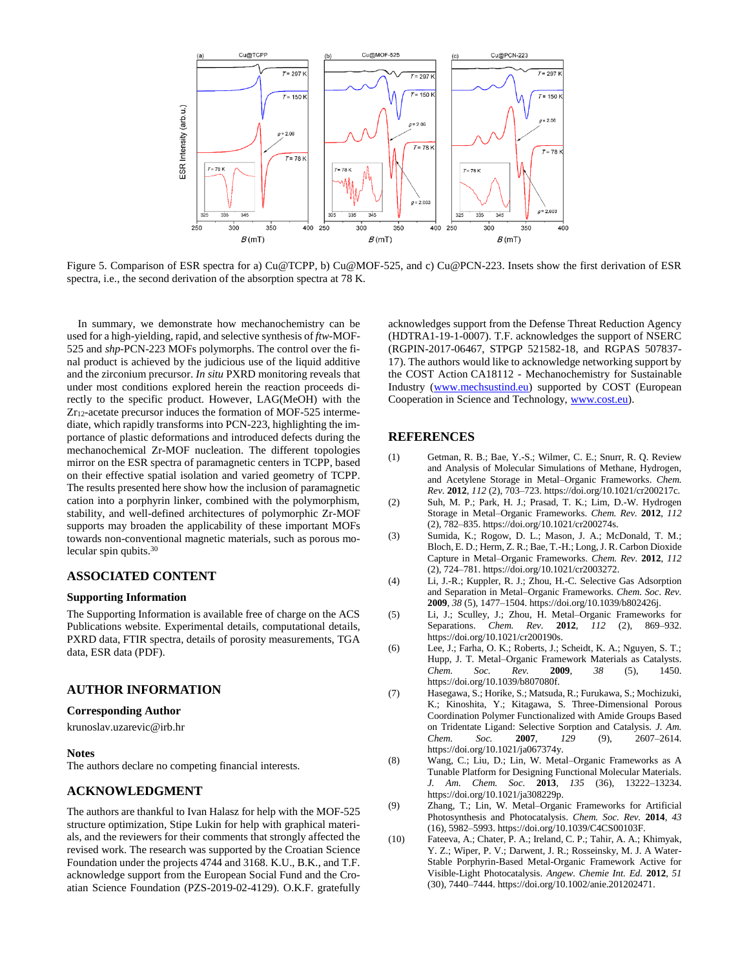

Figure 5. Comparison of ESR spectra for a) Cu@TCPP, b) Cu@MOF-525, and c) Cu@PCN-223. Insets show the first derivation of ESR spectra, i.e., the second derivation of the absorption spectra at 78 K.

In summary, we demonstrate how mechanochemistry can be used for a high-yielding, rapid, and selective synthesis of *ftw*-MOF-525 and *shp*-PCN-223 MOFs polymorphs. The control over the final product is achieved by the judicious use of the liquid additive and the zirconium precursor. *In situ* PXRD monitoring reveals that under most conditions explored herein the reaction proceeds directly to the specific product. However, LAG(MeOH) with the Zr12-acetate precursor induces the formation of MOF-525 intermediate, which rapidly transforms into PCN-223, highlighting the importance of plastic deformations and introduced defects during the mechanochemical Zr-MOF nucleation. The different topologies mirror on the ESR spectra of paramagnetic centers in TCPP, based on their effective spatial isolation and varied geometry of TCPP. The results presented here show how the inclusion of paramagnetic cation into a porphyrin linker, combined with the polymorphism, stability, and well-defined architectures of polymorphic Zr-MOF supports may broaden the applicability of these important MOFs towards non-conventional magnetic materials, such as porous molecular spin qubits.<sup>30</sup>

# **ASSOCIATED CONTENT**

## **Supporting Information**

The Supporting Information is available free of charge on the ACS Publications website. Experimental details, computational details, PXRD data, FTIR spectra, details of porosity measurements, TGA data, ESR data (PDF).

## **AUTHOR INFORMATION**

#### **Corresponding Author**

krunoslav.uzarevic@irb.hr

#### **Notes**

The authors declare no competing financial interests.

## **ACKNOWLEDGMENT**

The authors are thankful to Ivan Halasz for help with the MOF-525 structure optimization, Stipe Lukin for help with graphical materials, and the reviewers for their comments that strongly affected the revised work. The research was supported by the Croatian Science Foundation under the projects 4744 and 3168. K.U., B.K., and T.F. acknowledge support from the European Social Fund and the Croatian Science Foundation (PZS-2019-02-4129). O.K.F. gratefully

acknowledges support from the Defense Threat Reduction Agency (HDTRA1-19-1-0007). T.F. acknowledges the support of NSERC (RGPIN-2017-06467, STPGP 521582-18, and RGPAS 507837- 17). The authors would like to acknowledge networking support by the COST Action CA18112 - Mechanochemistry for Sustainable Industry [\(www.mechsustind.eu\)](http://www.mechsustind.eu/) supported by COST (European Cooperation in Science and Technology[, www.cost.eu\)](http://www.cost.eu/).

## **REFERENCES**

- (1) Getman, R. B.; Bae, Y.-S.; Wilmer, C. E.; Snurr, R. Q. Review and Analysis of Molecular Simulations of Methane, Hydrogen, and Acetylene Storage in Metal–Organic Frameworks. *Chem. Rev.* **2012**, *112* (2), 703–723. https://doi.org/10.1021/cr200217c.
- (2) Suh, M. P.; Park, H. J.; Prasad, T. K.; Lim, D.-W. Hydrogen Storage in Metal–Organic Frameworks. *Chem. Rev.* **2012**, *112* (2), 782–835. https://doi.org/10.1021/cr200274s.
- (3) Sumida, K.; Rogow, D. L.; Mason, J. A.; McDonald, T. M.; Bloch, E. D.; Herm, Z. R.; Bae, T.-H.; Long, J. R. Carbon Dioxide Capture in Metal–Organic Frameworks. *Chem. Rev.* **2012**, *112* (2), 724–781. https://doi.org/10.1021/cr2003272.
- (4) Li, J.-R.; Kuppler, R. J.; Zhou, H.-C. Selective Gas Adsorption and Separation in Metal–Organic Frameworks. *Chem. Soc. Rev.* **2009**, *38* (5), 1477–1504. https://doi.org/10.1039/b802426j.
- (5) Li, J.; Sculley, J.; Zhou, H. Metal–Organic Frameworks for Separations. *Chem. Rev.* **2012**, *112* (2), 869–932. https://doi.org/10.1021/cr200190s.
- (6) Lee, J.; Farha, O. K.; Roberts, J.; Scheidt, K. A.; Nguyen, S. T.; Hupp, J. T. Metal–Organic Framework Materials as Catalysts.<br>Chem. Soc. Rev. 2009. 38 (5). 1450. *Chem. Soc. Rev.* **2009**, *38* (5), 1450. https://doi.org/10.1039/b807080f.
- (7) Hasegawa, S.; Horike, S.; Matsuda, R.; Furukawa, S.; Mochizuki, K.; Kinoshita, Y.; Kitagawa, S. Three-Dimensional Porous Coordination Polymer Functionalized with Amide Groups Based on Tridentate Ligand: Selective Sorption and Catalysis. *J. Am. Chem. Soc.* **2007**, *129* (9), 2607–2614. https://doi.org/10.1021/ja067374y.
- (8) Wang, C.; Liu, D.; Lin, W. Metal–Organic Frameworks as A Tunable Platform for Designing Functional Molecular Materials. *J. Am. Chem. Soc.* **2013**, *135* (36), 13222–13234. https://doi.org/10.1021/ja308229p.
- (9) Zhang, T.; Lin, W. Metal–Organic Frameworks for Artificial Photosynthesis and Photocatalysis. *Chem. Soc. Rev.* **2014**, *43* (16), 5982–5993. https://doi.org/10.1039/C4CS00103F.
- (10) Fateeva, A.; Chater, P. A.; Ireland, C. P.; Tahir, A. A.; Khimyak, Y. Z.; Wiper, P. V.; Darwent, J. R.; Rosseinsky, M. J. A Water-Stable Porphyrin-Based Metal-Organic Framework Active for Visible-Light Photocatalysis. *Angew. Chemie Int. Ed.* **2012**, *51* (30), 7440–7444. https://doi.org/10.1002/anie.201202471.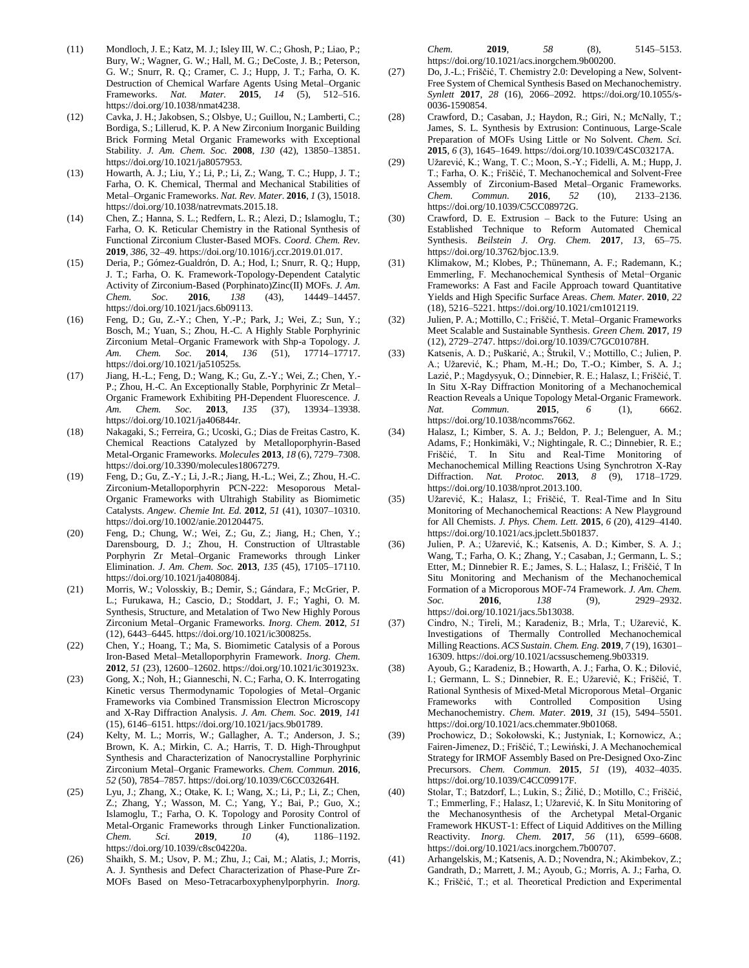- (11) Mondloch, J. E.; Katz, M. J.; Isley III, W. C.; Ghosh, P.; Liao, P.; Bury, W.; Wagner, G. W.; Hall, M. G.; DeCoste, J. B.; Peterson, G. W.; Snurr, R. Q.; Cramer, C. J.; Hupp, J. T.; Farha, O. K. Destruction of Chemical Warfare Agents Using Metal–Organic Frameworks. *Nat. Mater.* **2015**, *14* (5), 512–516. https://doi.org/10.1038/nmat4238.
- (12) Cavka, J. H.; Jakobsen, S.; Olsbye, U.; Guillou, N.; Lamberti, C.; Bordiga, S.; Lillerud, K. P. A New Zirconium Inorganic Building Brick Forming Metal Organic Frameworks with Exceptional Stability. *J. Am. Chem. Soc.* **2008**, *130* (42), 13850–13851. https://doi.org/10.1021/ja8057953.
- (13) Howarth, A. J.; Liu, Y.; Li, P.; Li, Z.; Wang, T. C.; Hupp, J. T.; Farha, O. K. Chemical, Thermal and Mechanical Stabilities of Metal–Organic Frameworks. *Nat. Rev. Mater.* **2016**, *1* (3), 15018. https://doi.org/10.1038/natrevmats.2015.18.
- (14) Chen, Z.; Hanna, S. L.; Redfern, L. R.; Alezi, D.; Islamoglu, T.; Farha, O. K. Reticular Chemistry in the Rational Synthesis of Functional Zirconium Cluster-Based MOFs. *Coord. Chem. Rev.* **2019**, *386*, 32–49. https://doi.org/10.1016/j.ccr.2019.01.017.
- (15) Deria, P.; Gómez-Gualdrón, D. A.; Hod, I.; Snurr, R. Q.; Hupp, J. T.; Farha, O. K. Framework-Topology-Dependent Catalytic Activity of Zirconium-Based (Porphinato)Zinc(II) MOFs. *J. Am. Chem. Soc.* **2016**, *138* (43), 14449–14457. https://doi.org/10.1021/jacs.6b09113.
- (16) Feng, D.; Gu, Z.-Y.; Chen, Y.-P.; Park, J.; Wei, Z.; Sun, Y.; Bosch, M.; Yuan, S.; Zhou, H.-C. A Highly Stable Porphyrinic Zirconium Metal–Organic Framework with Shp-a Topology. *J. Am. Chem. Soc.* **2014**, *136* (51), 17714–17717. https://doi.org/10.1021/ja510525s.
- (17) Jiang, H.-L.; Feng, D.; Wang, K.; Gu, Z.-Y.; Wei, Z.; Chen, Y.- P.; Zhou, H.-C. An Exceptionally Stable, Porphyrinic Zr Metal– Organic Framework Exhibiting PH-Dependent Fluorescence. *J. Am. Chem. Soc.* **2013**, *135* (37), 13934–13938. https://doi.org/10.1021/ja406844r.
- (18) Nakagaki, S.; Ferreira, G.; Ucoski, G.; Dias de Freitas Castro, K. Chemical Reactions Catalyzed by Metalloporphyrin-Based Metal-Organic Frameworks. *Molecules* **2013**, *18* (6), 7279–7308. https://doi.org/10.3390/molecules18067279.
- (19) Feng, D.; Gu, Z.-Y.; Li, J.-R.; Jiang, H.-L.; Wei, Z.; Zhou, H.-C. Zirconium-Metalloporphyrin PCN-222: Mesoporous Metal-Organic Frameworks with Ultrahigh Stability as Biomimetic Catalysts. *Angew. Chemie Int. Ed.* **2012**, *51* (41), 10307–10310. https://doi.org/10.1002/anie.201204475.
- (20) Feng, D.; Chung, W.; Wei, Z.; Gu, Z.; Jiang, H.; Chen, Y.; Darensbourg, D. J.; Zhou, H. Construction of Ultrastable Porphyrin Zr Metal–Organic Frameworks through Linker Elimination. *J. Am. Chem. Soc.* **2013**, *135* (45), 17105–17110. https://doi.org/10.1021/ja408084j.
- (21) Morris, W.; Volosskiy, B.; Demir, S.; Gándara, F.; McGrier, P. L.; Furukawa, H.; Cascio, D.; Stoddart, J. F.; Yaghi, O. M. Synthesis, Structure, and Metalation of Two New Highly Porous Zirconium Metal–Organic Frameworks. *Inorg. Chem.* **2012**, *51* (12), 6443–6445. https://doi.org/10.1021/ic300825s.
- (22) Chen, Y.; Hoang, T.; Ma, S. Biomimetic Catalysis of a Porous Iron-Based Metal–Metalloporphyrin Framework. *Inorg. Chem.* **2012**, *51* (23), 12600–12602. https://doi.org/10.1021/ic301923x.
- (23) Gong, X.; Noh, H.; Gianneschi, N. C.; Farha, O. K. Interrogating Kinetic versus Thermodynamic Topologies of Metal–Organic Frameworks via Combined Transmission Electron Microscopy and X-Ray Diffraction Analysis. *J. Am. Chem. Soc.* **2019**, *141* (15), 6146–6151. https://doi.org/10.1021/jacs.9b01789.
- (24) Kelty, M. L.; Morris, W.; Gallagher, A. T.; Anderson, J. S.; Brown, K. A.; Mirkin, C. A.; Harris, T. D. High-Throughput Synthesis and Characterization of Nanocrystalline Porphyrinic Zirconium Metal–Organic Frameworks. *Chem. Commun.* **2016**, *52* (50), 7854–7857. https://doi.org/10.1039/C6CC03264H.
- (25) Lyu, J.; Zhang, X.; Otake, K. I.; Wang, X.; Li, P.; Li, Z.; Chen, Z.; Zhang, Y.; Wasson, M. C.; Yang, Y.; Bai, P.; Guo, X.; Islamoglu, T.; Farha, O. K. Topology and Porosity Control of Metal-Organic Frameworks through Linker Functionalization. *Chem. Sci.* **2019**, *10* (4), 1186–1192. https://doi.org/10.1039/c8sc04220a.
- (26) Shaikh, S. M.; Usov, P. M.; Zhu, J.; Cai, M.; Alatis, J.; Morris, A. J. Synthesis and Defect Characterization of Phase-Pure Zr-MOFs Based on Meso-Tetracarboxyphenylporphyrin. *Inorg.*

*Chem.* **2019**, *58* (8), 5145–5153. https://doi.org/10.1021/acs.inorgchem.9b00200.

- (27) Do, J.-L.; Friščić, T. Chemistry 2.0: Developing a New, Solvent-Free System of Chemical Synthesis Based on Mechanochemistry. *Synlett* **2017**, *28* (16), 2066–2092. https://doi.org/10.1055/s-0036-1590854.
- (28) Crawford, D.; Casaban, J.; Haydon, R.; Giri, N.; McNally, T.; James, S. L. Synthesis by Extrusion: Continuous, Large-Scale Preparation of MOFs Using Little or No Solvent. *Chem. Sci.* **2015**, *6* (3), 1645–1649. https://doi.org/10.1039/C4SC03217A.
- (29) Užarević, K.; Wang, T. C.; Moon, S.-Y.; Fidelli, A. M.; Hupp, J. T.; Farha, O. K.; Friščić, T. Mechanochemical and Solvent-Free Assembly of Zirconium-Based Metal–Organic Frameworks. *Chem. Commun.* **2016**, *52* (10), 2133–2136. https://doi.org/10.1039/C5CC08972G.
- (30) Crawford, D. E. Extrusion Back to the Future: Using an Established Technique to Reform Automated Chemical Synthesis. *Beilstein J. Org. Chem.* **2017**, *13*, 65–75. https://doi.org/10.3762/bjoc.13.9.
- (31) Klimakow, M.; Klobes, P.; Thünemann, A. F.; Rademann, K.; Emmerling, F. Mechanochemical Synthesis of Metal−Organic Frameworks: A Fast and Facile Approach toward Quantitative Yields and High Specific Surface Areas. *Chem. Mater.* **2010**, *22* (18), 5216–5221. https://doi.org/10.1021/cm1012119.
- (32) Julien, P. A.; Mottillo, C.; Friščić, T. Metal–Organic Frameworks Meet Scalable and Sustainable Synthesis. *Green Chem.* **2017**, *19* (12), 2729–2747. https://doi.org/10.1039/C7GC01078H.
- (33) Katsenis, A. D.; Puškarić, A.; Štrukil, V.; Mottillo, C.; Julien, P. A.; Užarević, K.; Pham, M.-H.; Do, T.-O.; Kimber, S. A. J.; Lazić, P.; Magdysyuk, O.; Dinnebier, R. E.; Halasz, I.; Friščić, T. In Situ X-Ray Diffraction Monitoring of a Mechanochemical Reaction Reveals a Unique Topology Metal-Organic Framework. *Nat. Commun.* **2015**, *6* (1), 6662. https://doi.org/10.1038/ncomms7662.
- (34) Halasz, I.; Kimber, S. A. J.; Beldon, P. J.; Belenguer, A. M.; Adams, F.; Honkimäki, V.; Nightingale, R. C.; Dinnebier, R. E.; Friščić, T. In Situ and Real-Time Monitoring of Mechanochemical Milling Reactions Using Synchrotron X-Ray Diffraction. *Nat. Protoc.* **2013**, *8* (9), 1718–1729. https://doi.org/10.1038/nprot.2013.100.
- (35) Užarević, K.; Halasz, I.; Friščić, T. Real-Time and In Situ Monitoring of Mechanochemical Reactions: A New Playground for All Chemists. *J. Phys. Chem. Lett.* **2015**, *6* (20), 4129–4140. https://doi.org/10.1021/acs.jpclett.5b01837.
- (36) Julien, P. A.; Užarević, K.; Katsenis, A. D.; Kimber, S. A. J.; Wang, T.; Farha, O. K.; Zhang, Y.; Casaban, J.; Germann, L. S.; Etter, M.; Dinnebier R. E.; James, S. L.; Halasz, I.; Friščić, T In Situ Monitoring and Mechanism of the Mechanochemical Formation of a Microporous MOF-74 Framework. *J. Am. Chem. Soc.* **2016**, *138* (9), 2929–2932. https://doi.org/10.1021/jacs.5b13038.
- (37) Cindro, N.; Tireli, M.; Karadeniz, B.; Mrla, T.; Užarević, K. Investigations of Thermally Controlled Mechanochemical Milling Reactions. *ACS Sustain. Chem. Eng.* **2019**, *7* (19), 16301– 16309. https://doi.org/10.1021/acssuschemeng.9b03319.
- (38) Ayoub, G.; Karadeniz, B.; Howarth, A. J.; Farha, O. K.; Đilović, I.; Germann, L. S.; Dinnebier, R. E.; Užarević, K.; Friščić, T. Rational Synthesis of Mixed-Metal Microporous Metal–Organic Frameworks with Controlled Composition Using Mechanochemistry. *Chem. Mater.* **2019**, *31* (15), 5494–5501. https://doi.org/10.1021/acs.chemmater.9b01068.
- (39) Prochowicz, D.; Sokołowski, K.; Justyniak, I.; Kornowicz, A.; Fairen-Jimenez, D.; Friščić, T.; Lewiński, J. A Mechanochemical Strategy for IRMOF Assembly Based on Pre-Designed Oxo-Zinc Precursors. *Chem. Commun.* **2015**, *51* (19), 4032–4035. https://doi.org/10.1039/C4CC09917F.
- (40) Stolar, T.; Batzdorf, L.; Lukin, S.; Žilić, D.; Motillo, C.; Friščić, T.; Emmerling, F.; Halasz, I.; Užarević, K. In Situ Monitoring of the Mechanosynthesis of the Archetypal Metal-Organic Framework HKUST-1: Effect of Liquid Additives on the Milling Reactivity. *Inorg. Chem.* **2017**, *56* (11), 6599–6608. https://doi.org/10.1021/acs.inorgchem.7b00707.
- (41) Arhangelskis, M.; Katsenis, A. D.; Novendra, N.; Akimbekov, Z.; Gandrath, D.; Marrett, J. M.; Ayoub, G.; Morris, A. J.; Farha, O. K.; Friščić, T.; et al. Theoretical Prediction and Experimental